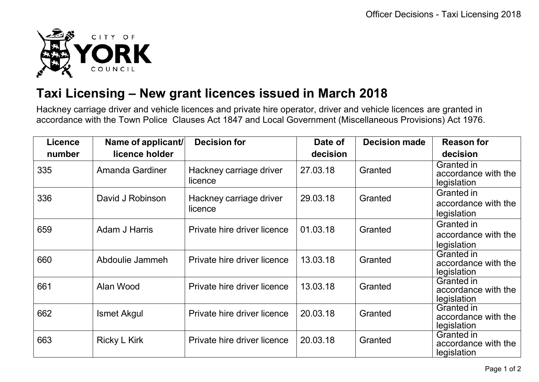

## **Taxi Licensing – New grant licences issued in March 2018**

Hackney carriage driver and vehicle licences and private hire operator, driver and vehicle licences are granted in accordance with the Town Police Clauses Act 1847 and Local Government (Miscellaneous Provisions) Act 1976.

| <b>Licence</b> | Name of applicant/     | <b>Decision for</b>                | Date of  | <b>Decision made</b> | <b>Reason for</b>                                       |
|----------------|------------------------|------------------------------------|----------|----------------------|---------------------------------------------------------|
| number         | licence holder         |                                    | decision |                      | decision                                                |
| 335            | <b>Amanda Gardiner</b> | Hackney carriage driver<br>licence | 27.03.18 | Granted              | Granted in<br>accordance with the<br>legislation        |
| 336            | David J Robinson       | Hackney carriage driver<br>licence | 29.03.18 | Granted              | Granted in<br>accordance with the<br>legislation        |
| 659            | <b>Adam J Harris</b>   | Private hire driver licence        | 01.03.18 | Granted              | Granted in<br>accordance with the<br>legislation        |
| 660            | Abdoulie Jammeh        | Private hire driver licence        | 13.03.18 | Granted              | <b>Granted in</b><br>accordance with the<br>legislation |
| 661            | Alan Wood              | Private hire driver licence        | 13.03.18 | Granted              | <b>Granted in</b><br>accordance with the<br>legislation |
| 662            | <b>Ismet Akgul</b>     | Private hire driver licence        | 20.03.18 | Granted              | Granted in<br>accordance with the<br>legislation        |
| 663            | <b>Ricky L Kirk</b>    | Private hire driver licence        | 20.03.18 | Granted              | Granted in<br>accordance with the<br>legislation        |